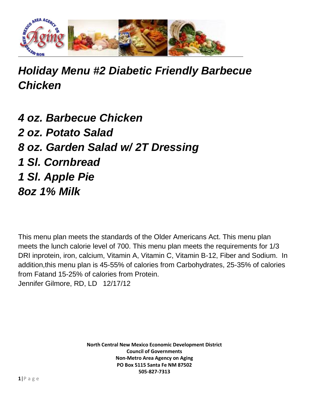

## *Holiday Menu #2 Diabetic Friendly Barbecue Chicken*

*4 oz. Barbecue Chicken 2 oz. Potato Salad 8 oz. Garden Salad w/ 2T Dressing 1 Sl. Cornbread 1 Sl. Apple Pie 8oz 1% Milk*

This menu plan meets the standards of the Older Americans Act. This menu plan meets the lunch calorie level of 700. This menu plan meets the requirements for 1/3 DRI inprotein, iron, calcium, Vitamin A, Vitamin C, Vitamin B-12, Fiber and Sodium. In addition,this menu plan is 45-55% of calories from Carbohydrates, 25-35% of calories from Fatand 15-25% of calories from Protein. Jennifer Gilmore, RD, LD 12/17/12

> **North Central New Mexico Economic Development District Council of Governments Non-Metro Area Agency on Aging PO Box 5115 Santa Fe NM 87502 505-827-7313**